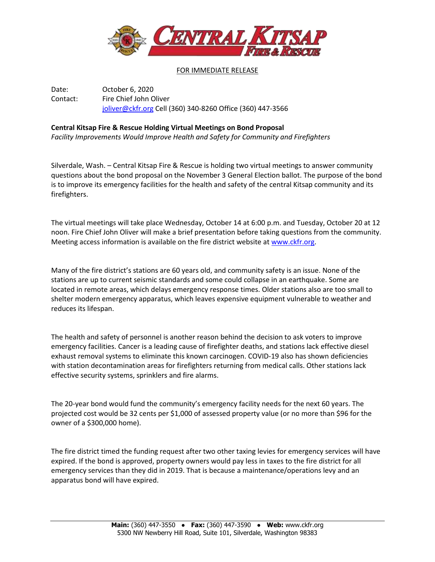

FOR IMMEDIATE RELEASE

Date: October 6, 2020 Contact: Fire Chief John Oliver [joliver@ckfr.org](mailto:joliver@ckfr.org) Cell (360) 340-8260 Office (360) 447-3566

## **Central Kitsap Fire & Rescue Holding Virtual Meetings on Bond Proposal**

*Facility Improvements Would Improve Health and Safety for Community and Firefighters*

Silverdale, Wash. – Central Kitsap Fire & Rescue is holding two virtual meetings to answer community questions about the bond proposal on the November 3 General Election ballot. The purpose of the bond is to improve its emergency facilities for the health and safety of the central Kitsap community and its firefighters.

The virtual meetings will take place Wednesday, October 14 at 6:00 p.m. and Tuesday, October 20 at 12 noon. Fire Chief John Oliver will make a brief presentation before taking questions from the community. Meeting access information is available on the fire district website at [www.ckfr.org.](http://www.ckfr.org/)

Many of the fire district's stations are 60 years old, and community safety is an issue. None of the stations are up to current seismic standards and some could collapse in an earthquake. Some are located in remote areas, which delays emergency response times. Older stations also are too small to shelter modern emergency apparatus, which leaves expensive equipment vulnerable to weather and reduces its lifespan.

The health and safety of personnel is another reason behind the decision to ask voters to improve emergency facilities. Cancer is a leading cause of firefighter deaths, and stations lack effective diesel exhaust removal systems to eliminate this known carcinogen. COVID-19 also has shown deficiencies with station decontamination areas for firefighters returning from medical calls. Other stations lack effective security systems, sprinklers and fire alarms.

The 20-year bond would fund the community's emergency facility needs for the next 60 years. The projected cost would be 32 cents per \$1,000 of assessed property value (or no more than \$96 for the owner of a \$300,000 home).

The fire district timed the funding request after two other taxing levies for emergency services will have expired. If the bond is approved, property owners would pay less in taxes to the fire district for all emergency services than they did in 2019. That is because a maintenance/operations levy and an apparatus bond will have expired.